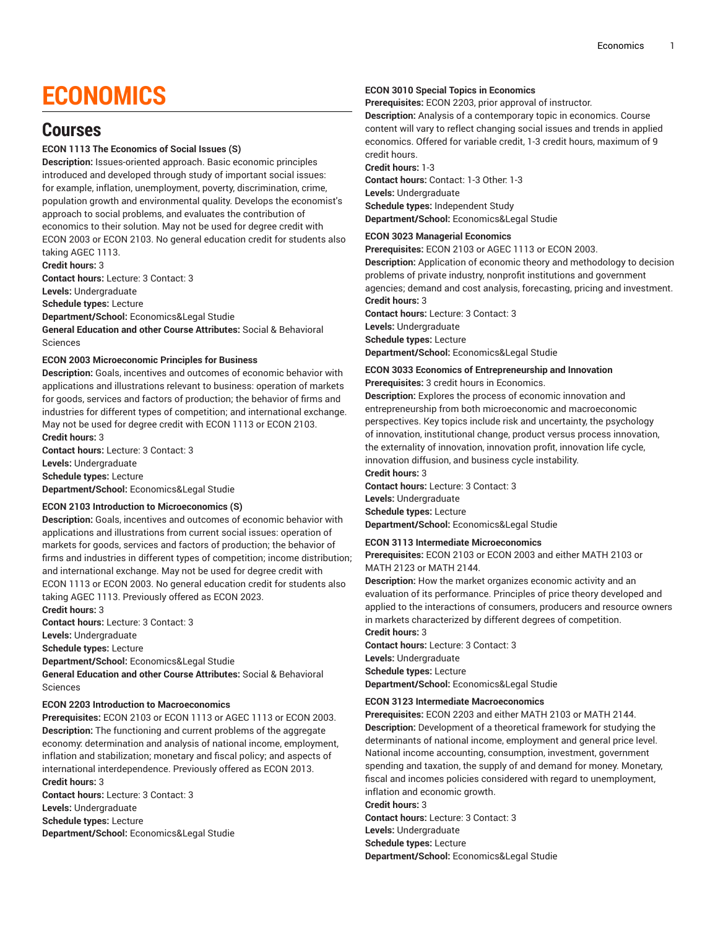# **ECONOMICS**

# **Courses**

### **ECON 1113 The Economics of Social Issues (S)**

**Description:** Issues-oriented approach. Basic economic principles introduced and developed through study of important social issues: for example, inflation, unemployment, poverty, discrimination, crime, population growth and environmental quality. Develops the economist's approach to social problems, and evaluates the contribution of economics to their solution. May not be used for degree credit with ECON 2003 or ECON 2103. No general education credit for students also taking AGEC 1113.

**Credit hours:** 3

**Contact hours:** Lecture: 3 Contact: 3

**Levels:** Undergraduate

**Schedule types:** Lecture

**Department/School:** Economics&Legal Studie

**General Education and other Course Attributes:** Social & Behavioral Sciences

### **ECON 2003 Microeconomic Principles for Business**

**Description:** Goals, incentives and outcomes of economic behavior with applications and illustrations relevant to business: operation of markets for goods, services and factors of production; the behavior of firms and industries for different types of competition; and international exchange. May not be used for degree credit with ECON 1113 or ECON 2103. **Credit hours:** 3

**Contact hours:** Lecture: 3 Contact: 3 **Levels:** Undergraduate **Schedule types:** Lecture **Department/School:** Economics&Legal Studie

### **ECON 2103 Introduction to Microeconomics (S)**

**Description:** Goals, incentives and outcomes of economic behavior with applications and illustrations from current social issues: operation of markets for goods, services and factors of production; the behavior of firms and industries in different types of competition; income distribution; and international exchange. May not be used for degree credit with ECON 1113 or ECON 2003. No general education credit for students also taking AGEC 1113. Previously offered as ECON 2023.

**Credit hours:** 3

**Contact hours:** Lecture: 3 Contact: 3

**Levels:** Undergraduate

**Schedule types:** Lecture

**Department/School:** Economics&Legal Studie

**General Education and other Course Attributes:** Social & Behavioral Sciences

### **ECON 2203 Introduction to Macroeconomics**

**Prerequisites:** ECON 2103 or ECON 1113 or AGEC 1113 or ECON 2003. **Description:** The functioning and current problems of the aggregate economy: determination and analysis of national income, employment, inflation and stabilization; monetary and fiscal policy; and aspects of international interdependence. Previously offered as ECON 2013. **Credit hours:** 3

**Contact hours:** Lecture: 3 Contact: 3 **Levels:** Undergraduate **Schedule types:** Lecture **Department/School:** Economics&Legal Studie

### **ECON 3010 Special Topics in Economics**

**Prerequisites:** ECON 2203, prior approval of instructor.

**Description:** Analysis of a contemporary topic in economics. Course content will vary to reflect changing social issues and trends in applied economics. Offered for variable credit, 1-3 credit hours, maximum of 9 credit hours.

**Credit hours:** 1-3 **Contact hours:** Contact: 1-3 Other: 1-3 **Levels:** Undergraduate **Schedule types:** Independent Study **Department/School:** Economics&Legal Studie

### **ECON 3023 Managerial Economics**

**Prerequisites:** ECON 2103 or AGEC 1113 or ECON 2003. **Description:** Application of economic theory and methodology to decision problems of private industry, nonprofit institutions and government agencies; demand and cost analysis, forecasting, pricing and investment. **Credit hours:** 3

**Contact hours:** Lecture: 3 Contact: 3 **Levels:** Undergraduate **Schedule types:** Lecture

**Department/School:** Economics&Legal Studie

### **ECON 3033 Economics of Entrepreneurship and Innovation**

### **Prerequisites:** 3 credit hours in Economics.

**Description:** Explores the process of economic innovation and entrepreneurship from both microeconomic and macroeconomic perspectives. Key topics include risk and uncertainty, the psychology of innovation, institutional change, product versus process innovation, the externality of innovation, innovation profit, innovation life cycle, innovation diffusion, and business cycle instability.

**Credit hours:** 3

**Contact hours:** Lecture: 3 Contact: 3 **Levels:** Undergraduate **Schedule types:** Lecture

**Department/School:** Economics&Legal Studie

### **ECON 3113 Intermediate Microeconomics**

**Prerequisites:** ECON 2103 or ECON 2003 and either MATH 2103 or MATH 2123 or MATH 2144.

**Description:** How the market organizes economic activity and an evaluation of its performance. Principles of price theory developed and applied to the interactions of consumers, producers and resource owners in markets characterized by different degrees of competition. **Credit hours:** 3

**Contact hours:** Lecture: 3 Contact: 3 **Levels:** Undergraduate **Schedule types:** Lecture **Department/School:** Economics&Legal Studie

### **ECON 3123 Intermediate Macroeconomics**

**Prerequisites:** ECON 2203 and either MATH 2103 or MATH 2144. **Description:** Development of a theoretical framework for studying the determinants of national income, employment and general price level. National income accounting, consumption, investment, government spending and taxation, the supply of and demand for money. Monetary, fiscal and incomes policies considered with regard to unemployment, inflation and economic growth.

**Credit hours:** 3

**Contact hours:** Lecture: 3 Contact: 3

**Levels:** Undergraduate

**Schedule types:** Lecture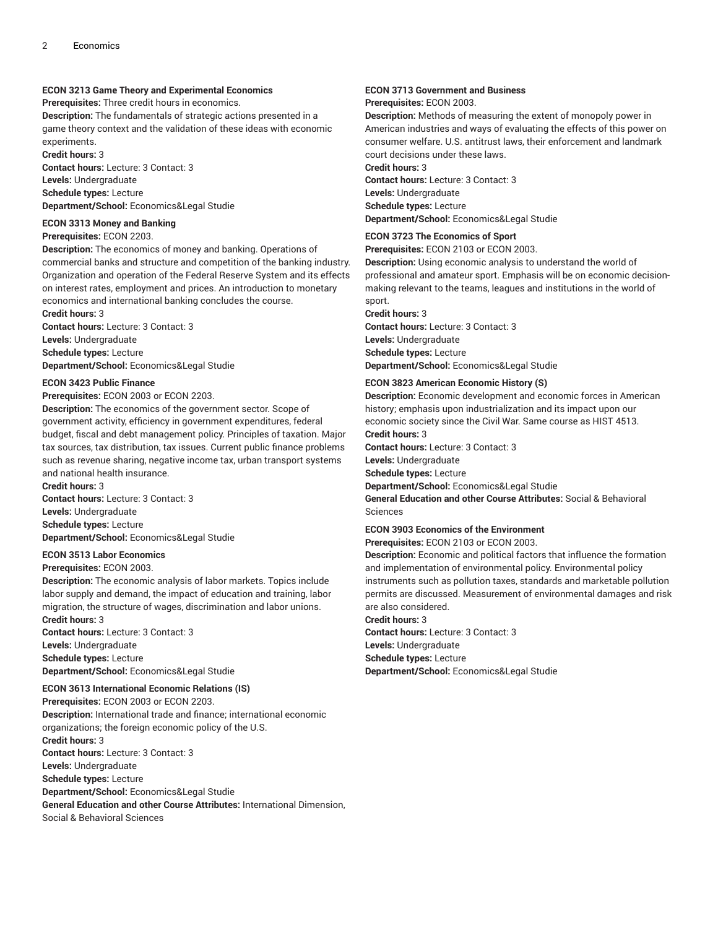### **ECON 3213 Game Theory and Experimental Economics**

**Prerequisites:** Three credit hours in economics.

**Description:** The fundamentals of strategic actions presented in a game theory context and the validation of these ideas with economic experiments.

**Credit hours:** 3

**Contact hours:** Lecture: 3 Contact: 3

**Levels:** Undergraduate **Schedule types:** Lecture **Department/School:** Economics&Legal Studie

### **ECON 3313 Money and Banking**

### **Prerequisites:** ECON 2203.

**Description:** The economics of money and banking. Operations of commercial banks and structure and competition of the banking industry. Organization and operation of the Federal Reserve System and its effects on interest rates, employment and prices. An introduction to monetary economics and international banking concludes the course. **Credit hours:** 3

**Contact hours:** Lecture: 3 Contact: 3 **Levels:** Undergraduate **Schedule types:** Lecture

**Department/School:** Economics&Legal Studie

### **ECON 3423 Public Finance**

**Prerequisites:** ECON 2003 or ECON 2203.

**Description:** The economics of the government sector. Scope of government activity, efficiency in government expenditures, federal budget, fiscal and debt management policy. Principles of taxation. Major tax sources, tax distribution, tax issues. Current public finance problems such as revenue sharing, negative income tax, urban transport systems and national health insurance.

**Credit hours:** 3 **Contact hours:** Lecture: 3 Contact: 3 **Levels:** Undergraduate

**Schedule types:** Lecture **Department/School:** Economics&Legal Studie

### **ECON 3513 Labor Economics**

### **Prerequisites:** ECON 2003.

**Description:** The economic analysis of labor markets. Topics include labor supply and demand, the impact of education and training, labor migration, the structure of wages, discrimination and labor unions. **Credit hours:** 3

**Contact hours:** Lecture: 3 Contact: 3 **Levels:** Undergraduate **Schedule types:** Lecture **Department/School:** Economics&Legal Studie

### **ECON 3613 International Economic Relations (IS)**

**Prerequisites:** ECON 2003 or ECON 2203. **Description:** International trade and finance; international economic organizations; the foreign economic policy of the U.S. **Credit hours:** 3 **Contact hours:** Lecture: 3 Contact: 3 **Levels:** Undergraduate **Schedule types:** Lecture **Department/School:** Economics&Legal Studie **General Education and other Course Attributes:** International Dimension, Social & Behavioral Sciences

### **ECON 3713 Government and Business Prerequisites:** ECON 2003.

**Description:** Methods of measuring the extent of monopoly power in American industries and ways of evaluating the effects of this power on consumer welfare. U.S. antitrust laws, their enforcement and landmark court decisions under these laws.

**Credit hours:** 3

**Contact hours:** Lecture: 3 Contact: 3 **Levels:** Undergraduate **Schedule types:** Lecture **Department/School:** Economics&Legal Studie

### **ECON 3723 The Economics of Sport**

**Prerequisites:** ECON 2103 or ECON 2003.

**Description:** Using economic analysis to understand the world of professional and amateur sport. Emphasis will be on economic decisionmaking relevant to the teams, leagues and institutions in the world of sport.

**Credit hours:** 3

**Contact hours:** Lecture: 3 Contact: 3 **Levels:** Undergraduate **Schedule types:** Lecture **Department/School:** Economics&Legal Studie

### **ECON 3823 American Economic History (S)**

**Description:** Economic development and economic forces in American history; emphasis upon industrialization and its impact upon our economic society since the Civil War. Same course as HIST 4513. **Credit hours:** 3

**Contact hours:** Lecture: 3 Contact: 3

**Levels:** Undergraduate

**Schedule types:** Lecture

**Department/School:** Economics&Legal Studie

**General Education and other Course Attributes:** Social & Behavioral Sciences

### **ECON 3903 Economics of the Environment**

**Prerequisites:** ECON 2103 or ECON 2003.

**Description:** Economic and political factors that influence the formation and implementation of environmental policy. Environmental policy instruments such as pollution taxes, standards and marketable pollution permits are discussed. Measurement of environmental damages and risk are also considered.

**Credit hours:** 3

**Contact hours:** Lecture: 3 Contact: 3

**Levels:** Undergraduate

**Schedule types:** Lecture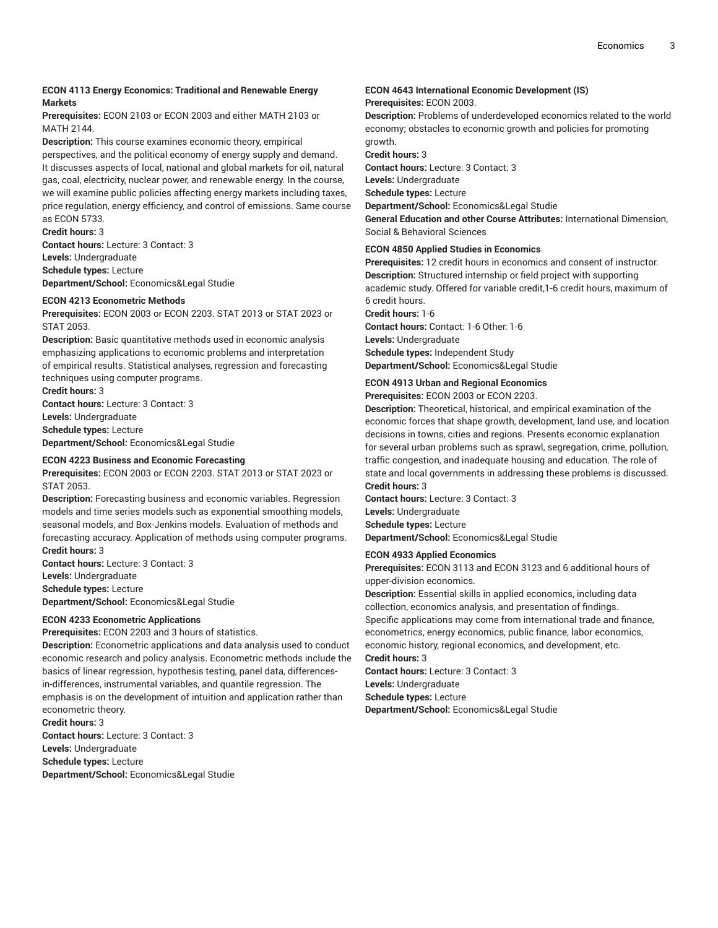### **ECON 4113 Energy Economics: Traditional and Renewable Energy Markets**

**Prerequisites:** ECON 2103 or ECON 2003 and either MATH 2103 or **MATH 2144** 

**Description:** This course examines economic theory, empirical perspectives, and the political economy of energy supply and demand. It discusses aspects of local, national and global markets for oil, natural gas, coal, electricity, nuclear power, and renewable energy. In the course, we will examine public policies affecting energy markets including taxes, price regulation, energy efficiency, and control of emissions. Same course as ECON 5733.

**Credit hours:** 3

**Contact hours:** Lecture: 3 Contact: 3 **Levels:** Undergraduate **Schedule types:** Lecture **Department/School:** Economics&Legal Studie

### **ECON 4213 Econometric Methods**

**Prerequisites:** ECON 2003 or ECON 2203. STAT 2013 or STAT 2023 or STAT 2053.

**Description:** Basic quantitative methods used in economic analysis emphasizing applications to economic problems and interpretation of empirical results. Statistical analyses, regression and forecasting techniques using computer programs.

**Credit hours:** 3 **Contact hours:** Lecture: 3 Contact: 3 **Levels:** Undergraduate **Schedule types:** Lecture **Department/School:** Economics&Legal Studie

#### **ECON 4223 Business and Economic Forecasting**

**Prerequisites:** ECON 2003 or ECON 2203. STAT 2013 or STAT 2023 or STAT 2053.

**Description:** Forecasting business and economic variables. Regression models and time series models such as exponential smoothing models, seasonal models, and Box-Jenkins models. Evaluation of methods and forecasting accuracy. Application of methods using computer programs. **Credit hours:** 3

**Contact hours:** Lecture: 3 Contact: 3 **Levels:** Undergraduate **Schedule types:** Lecture **Department/School:** Economics&Legal Studie

### **ECON 4233 Econometric Applications**

**Prerequisites:** ECON 2203 and 3 hours of statistics.

**Description:** Econometric applications and data analysis used to conduct economic research and policy analysis. Econometric methods include the basics of linear regression, hypothesis testing, panel data, differences in-differences, instrumental variables, and quantile regression. The emphasis is on the development of intuition and application rather than econometric theory. **Credit hours:** 3

**Contact hours:** Lecture: 3 Contact: 3 **Levels:** Undergraduate **Schedule types:** Lecture **Department/School:** Economics&Legal Studie

### **ECON 4643 International Economic Development (IS) Prerequisites:** ECON 2003.

**Description:** Problems of underdeveloped economics related to the world economy; obstacles to economic growth and policies for promoting growth.

**Credit hours:** 3

**Contact hours:** Lecture: 3 Contact: 3 **Levels:** Undergraduate **Schedule types:** Lecture **Department/School:** Economics&Legal Studie

**General Education and other Course Attributes:** International Dimension, Social & Behavioral Sciences

### **ECON 4850 Applied Studies in Economics**

**Prerequisites:** 12 credit hours in economics and consent of instructor. **Description:** Structured internship or field project with supporting academic study. Offered for variable credit,1-6 credit hours, maximum of 6 credit hours.

**Credit hours:** 1-6 **Contact hours:** Contact: 1-6 Other: 1-6 **Levels:** Undergraduate **Schedule types:** Independent Study **Department/School:** Economics&Legal Studie

### **ECON 4913 Urban and Regional Economics Prerequisites:** ECON 2003 or ECON 2203.

**Description:** Theoretical, historical, and empirical examination of the economic forces that shape growth, development, land use, and location decisions in towns, cities and regions. Presents economic explanation for several urban problems such as sprawl, segregation, crime, pollution, traffic congestion, and inadequate housing and education. The role of state and local governments in addressing these problems is discussed. **Credit hours:** 3

**Contact hours:** Lecture: 3 Contact: 3 **Levels:** Undergraduate **Schedule types:** Lecture **Department/School:** Economics&Legal Studie

### **ECON 4933 Applied Economics**

**Prerequisites:** ECON 3113 and ECON 3123 and 6 additional hours of upper-division economics.

**Description:** Essential skills in applied economics, including data collection, economics analysis, and presentation of findings. Specific applications may come from international trade and finance, econometrics, energy economics, public finance, labor economics, economic history, regional economics, and development, etc. **Credit hours:** 3

**Contact hours:** Lecture: 3 Contact: 3 **Levels:** Undergraduate

**Schedule types:** Lecture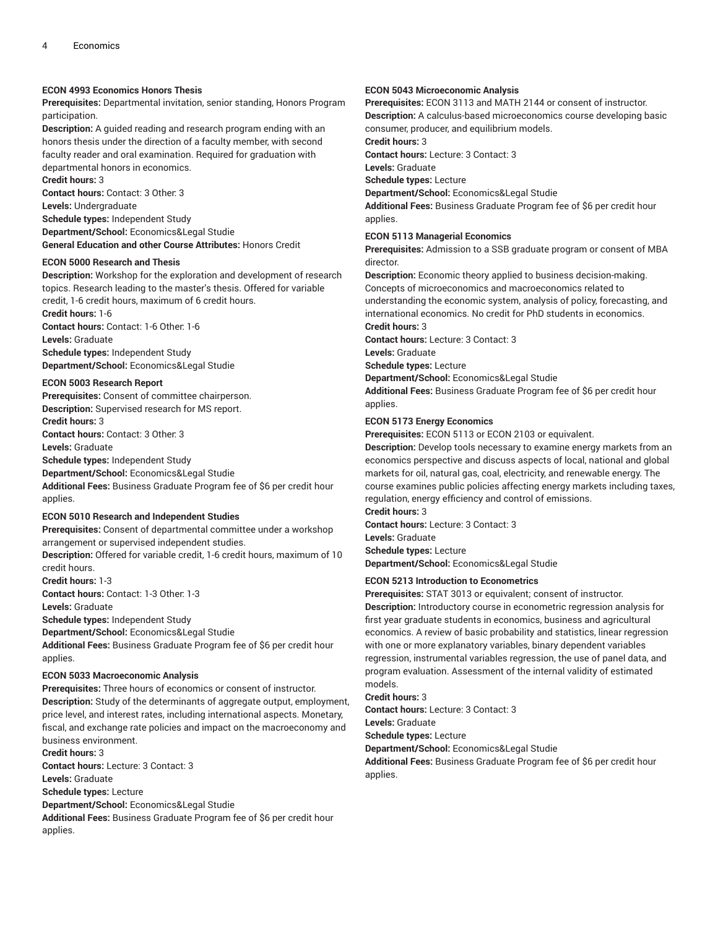### **ECON 4993 Economics Honors Thesis**

**Prerequisites:** Departmental invitation, senior standing, Honors Program participation.

**Description:** A guided reading and research program ending with an honors thesis under the direction of a faculty member, with second faculty reader and oral examination. Required for graduation with departmental honors in economics.

**Credit hours:** 3

**Contact hours:** Contact: 3 Other: 3 **Levels:** Undergraduate **Schedule types:** Independent Study **Department/School:** Economics&Legal Studie **General Education and other Course Attributes:** Honors Credit

#### **ECON 5000 Research and Thesis**

**Description:** Workshop for the exploration and development of research topics. Research leading to the master's thesis. Offered for variable credit, 1-6 credit hours, maximum of 6 credit hours.

**Credit hours:** 1-6 **Contact hours:** Contact: 1-6 Other: 1-6 **Levels:** Graduate **Schedule types:** Independent Study

**Department/School:** Economics&Legal Studie

### **ECON 5003 Research Report**

**Prerequisites:** Consent of committee chairperson. **Description:** Supervised research for MS report. **Credit hours:** 3 **Contact hours:** Contact: 3 Other: 3

**Levels:** Graduate

**Schedule types:** Independent Study

**Department/School:** Economics&Legal Studie

**Additional Fees:** Business Graduate Program fee of \$6 per credit hour applies.

### **ECON 5010 Research and Independent Studies**

**Prerequisites:** Consent of departmental committee under a workshop arrangement or supervised independent studies.

**Description:** Offered for variable credit, 1-6 credit hours, maximum of 10 credit hours.

**Credit hours:** 1-3

**Contact hours:** Contact: 1-3 Other: 1-3

**Levels:** Graduate

**Schedule types:** Independent Study

**Department/School:** Economics&Legal Studie

**Additional Fees:** Business Graduate Program fee of \$6 per credit hour applies.

### **ECON 5033 Macroeconomic Analysis**

**Prerequisites:** Three hours of economics or consent of instructor. **Description:** Study of the determinants of aggregate output, employment, price level, and interest rates, including international aspects. Monetary, fiscal, and exchange rate policies and impact on the macroeconomy and business environment.

### **Credit hours:** 3

**Contact hours:** Lecture: 3 Contact: 3 **Levels:** Graduate **Schedule types:** Lecture **Department/School:** Economics&Legal Studie

**Additional Fees:** Business Graduate Program fee of \$6 per credit hour applies.

### **ECON 5043 Microeconomic Analysis**

**Prerequisites:** ECON 3113 and MATH 2144 or consent of instructor. **Description:** A calculus-based microeconomics course developing basic consumer, producer, and equilibrium models.

**Credit hours:** 3

**Contact hours:** Lecture: 3 Contact: 3

**Levels:** Graduate

**Schedule types:** Lecture

**Department/School:** Economics&Legal Studie

**Additional Fees:** Business Graduate Program fee of \$6 per credit hour applies.

### **ECON 5113 Managerial Economics**

**Prerequisites:** Admission to a SSB graduate program or consent of MBA director.

**Description:** Economic theory applied to business decision-making. Concepts of microeconomics and macroeconomics related to understanding the economic system, analysis of policy, forecasting, and international economics. No credit for PhD students in economics. **Credit hours:** 3

**Contact hours:** Lecture: 3 Contact: 3

**Levels:** Graduate

**Schedule types:** Lecture

**Department/School:** Economics&Legal Studie

**Additional Fees:** Business Graduate Program fee of \$6 per credit hour applies.

### **ECON 5173 Energy Economics**

**Prerequisites:** ECON 5113 or ECON 2103 or equivalent.

**Description:** Develop tools necessary to examine energy markets from an economics perspective and discuss aspects of local, national and global markets for oil, natural gas, coal, electricity, and renewable energy. The course examines public policies affecting energy markets including taxes, regulation, energy efficiency and control of emissions.

**Credit hours:** 3 **Contact hours:** Lecture: 3 Contact: 3

**Levels:** Graduate **Schedule types:** Lecture

**Department/School:** Economics&Legal Studie

### **ECON 5213 Introduction to Econometrics**

**Prerequisites:** STAT 3013 or equivalent; consent of instructor. **Description:** Introductory course in econometric regression analysis for first year graduate students in economics, business and agricultural economics. A review of basic probability and statistics, linear regression with one or more explanatory variables, binary dependent variables regression, instrumental variables regression, the use of panel data, and program evaluation. Assessment of the internal validity of estimated models.

**Credit hours:** 3

**Contact hours:** Lecture: 3 Contact: 3

**Levels:** Graduate

**Schedule types:** Lecture

**Department/School:** Economics&Legal Studie

**Additional Fees:** Business Graduate Program fee of \$6 per credit hour applies.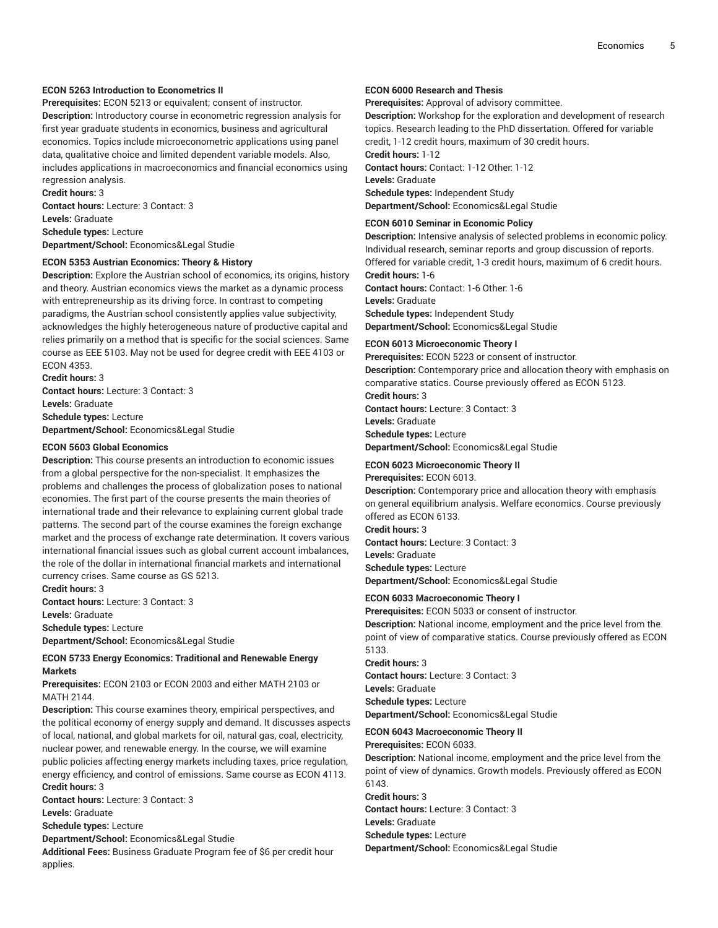### **ECON 5263 Introduction to Econometrics II**

**Prerequisites:** ECON 5213 or equivalent; consent of instructor. **Description:** Introductory course in econometric regression analysis for first year graduate students in economics, business and agricultural economics. Topics include microeconometric applications using panel data, qualitative choice and limited dependent variable models. Also, includes applications in macroeconomics and financial economics using regression analysis.

**Credit hours:** 3 **Contact hours:** Lecture: 3 Contact: 3 **Levels:** Graduate **Schedule types:** Lecture **Department/School:** Economics&Legal Studie

### **ECON 5353 Austrian Economics: Theory & History**

**Description:** Explore the Austrian school of economics, its origins, history and theory. Austrian economics views the market as a dynamic process with entrepreneurship as its driving force. In contrast to competing paradigms, the Austrian school consistently applies value subjectivity, acknowledges the highly heterogeneous nature of productive capital and relies primarily on a method that is specific for the social sciences. Same course as EEE 5103. May not be used for degree credit with EEE 4103 or ECON 4353.

**Credit hours:** 3 **Contact hours:** Lecture: 3 Contact: 3 **Levels:** Graduate **Schedule types:** Lecture **Department/School:** Economics&Legal Studie

#### **ECON 5603 Global Economics**

**Description:** This course presents an introduction to economic issues from a global perspective for the non-specialist. It emphasizes the problems and challenges the process of globalization poses to national economies. The first part of the course presents the main theories of international trade and their relevance to explaining current global trade patterns. The second part of the course examines the foreign exchange market and the process of exchange rate determination. It covers various international financial issues such as global current account imbalances, the role of the dollar in international financial markets and international currency crises. Same course as GS 5213.

**Credit hours:** 3 **Contact hours:** Lecture: 3 Contact: 3

**Levels:** Graduate

**Schedule types:** Lecture

**Department/School:** Economics&Legal Studie

### **ECON 5733 Energy Economics: Traditional and Renewable Energy Markets**

**Prerequisites:** ECON 2103 or ECON 2003 and either MATH 2103 or MATH 2144.

**Description:** This course examines theory, empirical perspectives, and the political economy of energy supply and demand. It discusses aspects of local, national, and global markets for oil, natural gas, coal, electricity, nuclear power, and renewable energy. In the course, we will examine public policies affecting energy markets including taxes, price regulation, energy efficiency, and control of emissions. Same course as ECON 4113. **Credit hours:** 3

**Contact hours:** Lecture: 3 Contact: 3

**Levels:** Graduate

**Schedule types:** Lecture

**Department/School:** Economics&Legal Studie

**Additional Fees:** Business Graduate Program fee of \$6 per credit hour applies.

### **ECON 6000 Research and Thesis**

**Prerequisites:** Approval of advisory committee.

**Description:** Workshop for the exploration and development of research topics. Research leading to the PhD dissertation. Offered for variable credit, 1-12 credit hours, maximum of 30 credit hours.

**Credit hours:** 1-12 **Contact hours:** Contact: 1-12 Other: 1-12 **Levels:** Graduate **Schedule types:** Independent Study **Department/School:** Economics&Legal Studie

### **ECON 6010 Seminar in Economic Policy**

**Description:** Intensive analysis of selected problems in economic policy. Individual research, seminar reports and group discussion of reports. Offered for variable credit, 1-3 credit hours, maximum of 6 credit hours.

**Credit hours:** 1-6 **Contact hours:** Contact: 1-6 Other: 1-6 **Levels:** Graduate **Schedule types:** Independent Study **Department/School:** Economics&Legal Studie

### **ECON 6013 Microeconomic Theory I**

**Prerequisites:** ECON 5223 or consent of instructor. **Description:** Contemporary price and allocation theory with emphasis on comparative statics. Course previously offered as ECON 5123. **Credit hours:** 3 **Contact hours:** Lecture: 3 Contact: 3 **Levels:** Graduate **Schedule types:** Lecture **Department/School:** Economics&Legal Studie

### **ECON 6023 Microeconomic Theory II**

**Prerequisites:** ECON 6013. **Description:** Contemporary price and allocation theory with emphasis on general equilibrium analysis. Welfare economics. Course previously offered as ECON 6133. **Credit hours:** 3 **Contact hours:** Lecture: 3 Contact: 3 **Levels:** Graduate **Schedule types:** Lecture **Department/School:** Economics&Legal Studie

### **ECON 6033 Macroeconomic Theory I**

**Prerequisites:** ECON 5033 or consent of instructor. **Description:** National income, employment and the price level from the point of view of comparative statics. Course previously offered as ECON 5133.

**Credit hours:** 3 **Contact hours:** Lecture: 3 Contact: 3

**Levels:** Graduate **Schedule types:** Lecture

**Department/School:** Economics&Legal Studie

### **ECON 6043 Macroeconomic Theory II**

**Prerequisites:** ECON 6033.

**Description:** National income, employment and the price level from the point of view of dynamics. Growth models. Previously offered as ECON 6143.

**Credit hours:** 3 **Contact hours:** Lecture: 3 Contact: 3

**Levels:** Graduate

**Schedule types:** Lecture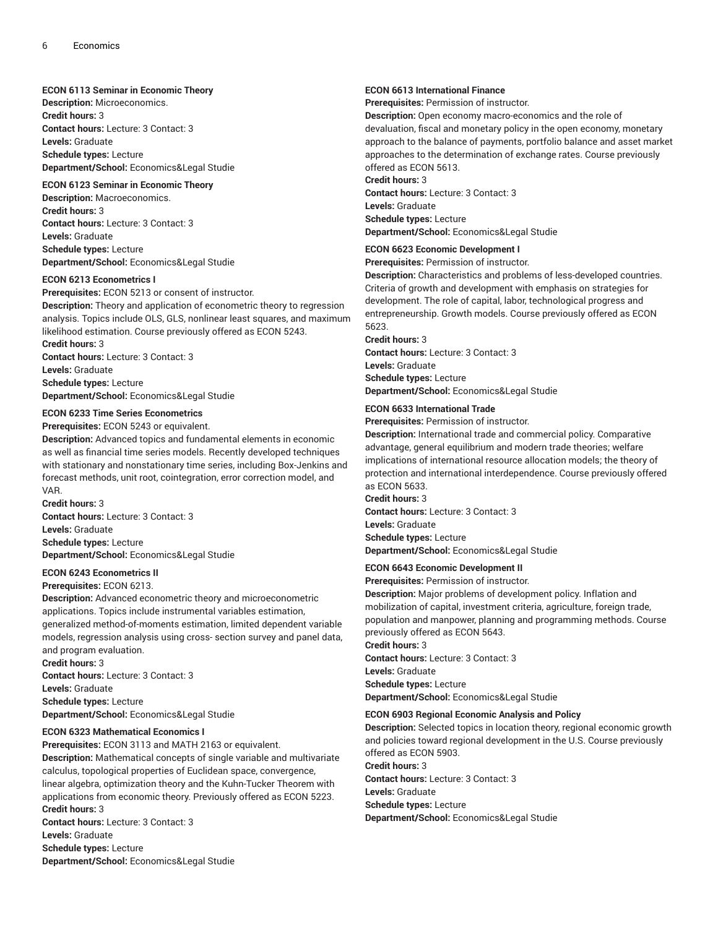### **ECON 6113 Seminar in Economic Theory**

**Description:** Microeconomics. **Credit hours:** 3 **Contact hours:** Lecture: 3 Contact: 3 **Levels:** Graduate **Schedule types:** Lecture **Department/School:** Economics&Legal Studie

### **ECON 6123 Seminar in Economic Theory**

**Description:** Macroeconomics. **Credit hours:** 3 **Contact hours:** Lecture: 3 Contact: 3 **Levels:** Graduate **Schedule types:** Lecture **Department/School:** Economics&Legal Studie

### **ECON 6213 Econometrics I**

**Prerequisites:** ECON 5213 or consent of instructor. **Description:** Theory and application of econometric theory to regression analysis. Topics include OLS, GLS, nonlinear least squares, and maximum likelihood estimation. Course previously offered as ECON 5243. **Credit hours:** 3 **Contact hours:** Lecture: 3 Contact: 3 **Levels:** Graduate **Schedule types:** Lecture **Department/School:** Economics&Legal Studie

### **ECON 6233 Time Series Econometrics**

**Prerequisites:** ECON 5243 or equivalent.

**Description:** Advanced topics and fundamental elements in economic as well as financial time series models. Recently developed techniques with stationary and nonstationary time series, including Box-Jenkins and forecast methods, unit root, cointegration, error correction model, and VAR.

**Credit hours:** 3 **Contact hours:** Lecture: 3 Contact: 3 **Levels:** Graduate **Schedule types:** Lecture **Department/School:** Economics&Legal Studie

### **ECON 6243 Econometrics II**

**Prerequisites:** ECON 6213.

**Description:** Advanced econometric theory and microeconometric applications. Topics include instrumental variables estimation, generalized method-of-moments estimation, limited dependent variable models, regression analysis using cross- section survey and panel data, and program evaluation.

**Credit hours:** 3 **Contact hours:** Lecture: 3 Contact: 3 **Levels:** Graduate **Schedule types:** Lecture **Department/School:** Economics&Legal Studie

### **ECON 6323 Mathematical Economics I**

**Prerequisites:** ECON 3113 and MATH 2163 or equivalent. **Description:** Mathematical concepts of single variable and multivariate calculus, topological properties of Euclidean space, convergence, linear algebra, optimization theory and the Kuhn-Tucker Theorem with applications from economic theory. Previously offered as ECON 5223. **Credit hours:** 3 **Contact hours:** Lecture: 3 Contact: 3 **Levels:** Graduate

**Schedule types:** Lecture

**Department/School:** Economics&Legal Studie

### **ECON 6613 International Finance**

**Prerequisites:** Permission of instructor.

**Description:** Open economy macro-economics and the role of devaluation, fiscal and monetary policy in the open economy, monetary approach to the balance of payments, portfolio balance and asset market approaches to the determination of exchange rates. Course previously offered as ECON 5613.

**Credit hours:** 3

**Contact hours:** Lecture: 3 Contact: 3 **Levels:** Graduate **Schedule types:** Lecture **Department/School:** Economics&Legal Studie

### **ECON 6623 Economic Development I**

**Prerequisites:** Permission of instructor.

**Description:** Characteristics and problems of less-developed countries. Criteria of growth and development with emphasis on strategies for development. The role of capital, labor, technological progress and entrepreneurship. Growth models. Course previously offered as ECON 5623.

**Credit hours:** 3

**Contact hours:** Lecture: 3 Contact: 3 **Levels:** Graduate **Schedule types:** Lecture **Department/School:** Economics&Legal Studie

### **ECON 6633 International Trade**

**Prerequisites:** Permission of instructor.

**Description:** International trade and commercial policy. Comparative advantage, general equilibrium and modern trade theories; welfare implications of international resource allocation models; the theory of protection and international interdependence. Course previously offered as ECON 5633.

**Credit hours:** 3 **Contact hours:** Lecture: 3 Contact: 3 **Levels:** Graduate **Schedule types:** Lecture

**Department/School:** Economics&Legal Studie

### **ECON 6643 Economic Development II**

**Prerequisites:** Permission of instructor.

**Description:** Major problems of development policy. Inflation and mobilization of capital, investment criteria, agriculture, foreign trade, population and manpower, planning and programming methods. Course previously offered as ECON 5643.

**Credit hours:** 3 **Contact hours:** Lecture: 3 Contact: 3 **Levels:** Graduate **Schedule types:** Lecture **Department/School:** Economics&Legal Studie

### **ECON 6903 Regional Economic Analysis and Policy**

**Description:** Selected topics in location theory, regional economic growth and policies toward regional development in the U.S. Course previously offered as ECON 5903.

**Credit hours:** 3 **Contact hours:** Lecture: 3 Contact: 3 **Levels:** Graduate **Schedule types:** Lecture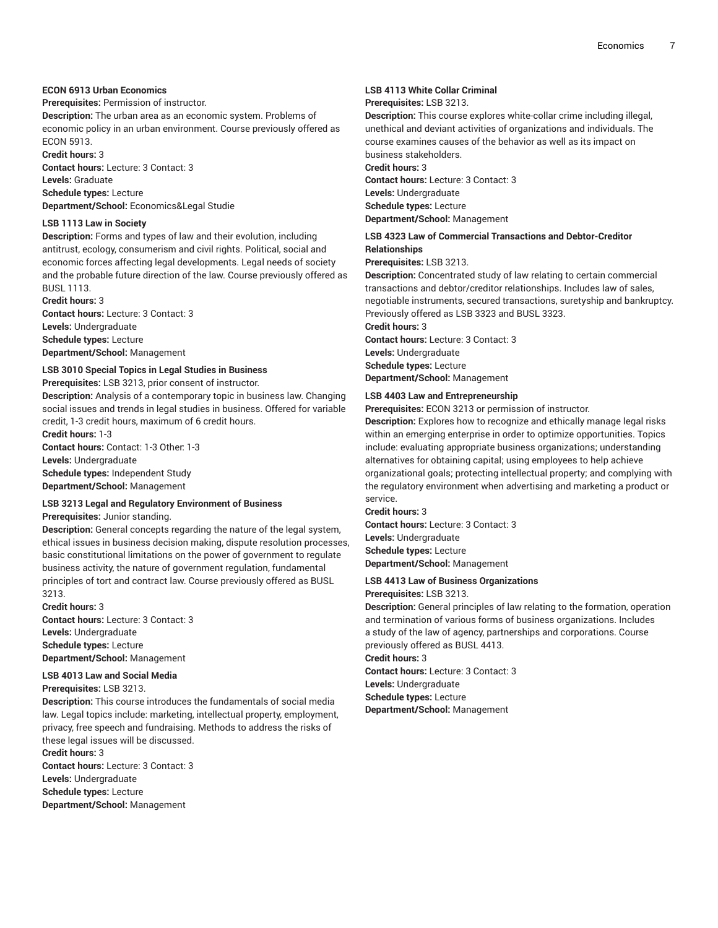### **ECON 6913 Urban Economics**

### **Prerequisites:** Permission of instructor.

**Description:** The urban area as an economic system. Problems of economic policy in an urban environment. Course previously offered as ECON 5913.

**Credit hours:** 3

**Contact hours:** Lecture: 3 Contact: 3 **Levels:** Graduate

**Schedule types:** Lecture

**Department/School:** Economics&Legal Studie

### **LSB 1113 Law in Society**

**Description:** Forms and types of law and their evolution, including antitrust, ecology, consumerism and civil rights. Political, social and economic forces affecting legal developments. Legal needs of society and the probable future direction of the law. Course previously offered as BUSL 1113.

**Credit hours:** 3 **Contact hours:** Lecture: 3 Contact: 3 **Levels:** Undergraduate **Schedule types:** Lecture **Department/School:** Management

### **LSB 3010 Special Topics in Legal Studies in Business**

**Prerequisites:** LSB 3213, prior consent of instructor.

**Description:** Analysis of a contemporary topic in business law. Changing social issues and trends in legal studies in business. Offered for variable credit, 1-3 credit hours, maximum of 6 credit hours. **Credit hours:** 1-3

**Contact hours:** Contact: 1-3 Other: 1-3 **Levels:** Undergraduate **Schedule types:** Independent Study **Department/School:** Management

### **LSB 3213 Legal and Regulatory Environment of Business**

### **Prerequisites:** Junior standing.

**Description:** General concepts regarding the nature of the legal system, ethical issues in business decision making, dispute resolution processes, basic constitutional limitations on the power of government to regulate business activity, the nature of government regulation, fundamental principles of tort and contract law. Course previously offered as BUSL 3213.

**Credit hours:** 3 **Contact hours:** Lecture: 3 Contact: 3 **Levels:** Undergraduate **Schedule types:** Lecture **Department/School:** Management

### **LSB 4013 Law and Social Media**

**Prerequisites:** LSB 3213.

**Description:** This course introduces the fundamentals of social media law. Legal topics include: marketing, intellectual property, employment, privacy, free speech and fundraising. Methods to address the risks of these legal issues will be discussed.

### **Credit hours:** 3

**Contact hours:** Lecture: 3 Contact: 3 **Levels:** Undergraduate **Schedule types:** Lecture **Department/School:** Management

### **LSB 4113 White Collar Criminal**

### **Prerequisites:** LSB 3213.

**Description:** This course explores white-collar crime including illegal, unethical and deviant activities of organizations and individuals. The course examines causes of the behavior as well as its impact on business stakeholders.

**Credit hours:** 3

**Contact hours:** Lecture: 3 Contact: 3 **Levels:** Undergraduate **Schedule types:** Lecture

**Department/School:** Management

### **LSB 4323 Law of Commercial Transactions and Debtor-Creditor Relationships**

**Prerequisites:** LSB 3213.

**Description:** Concentrated study of law relating to certain commercial transactions and debtor/creditor relationships. Includes law of sales, negotiable instruments, secured transactions, suretyship and bankruptcy. Previously offered as LSB 3323 and BUSL 3323. **Credit hours:** 3

**Contact hours:** Lecture: 3 Contact: 3 **Levels:** Undergraduate **Schedule types:** Lecture **Department/School:** Management

### **LSB 4403 Law and Entrepreneurship**

**Prerequisites:** ECON 3213 or permission of instructor.

**Description:** Explores how to recognize and ethically manage legal risks within an emerging enterprise in order to optimize opportunities. Topics include: evaluating appropriate business organizations; understanding alternatives for obtaining capital; using employees to help achieve organizational goals; protecting intellectual property; and complying with the regulatory environment when advertising and marketing a product or service.

### **Credit hours:** 3

**Contact hours:** Lecture: 3 Contact: 3 **Levels:** Undergraduate **Schedule types:** Lecture **Department/School:** Management

### **LSB 4413 Law of Business Organizations**

**Prerequisites:** LSB 3213.

**Description:** General principles of law relating to the formation, operation and termination of various forms of business organizations. Includes a study of the law of agency, partnerships and corporations. Course previously offered as BUSL 4413.

**Credit hours:** 3

**Contact hours:** Lecture: 3 Contact: 3 **Levels:** Undergraduate

**Schedule types:** Lecture

**Department/School:** Management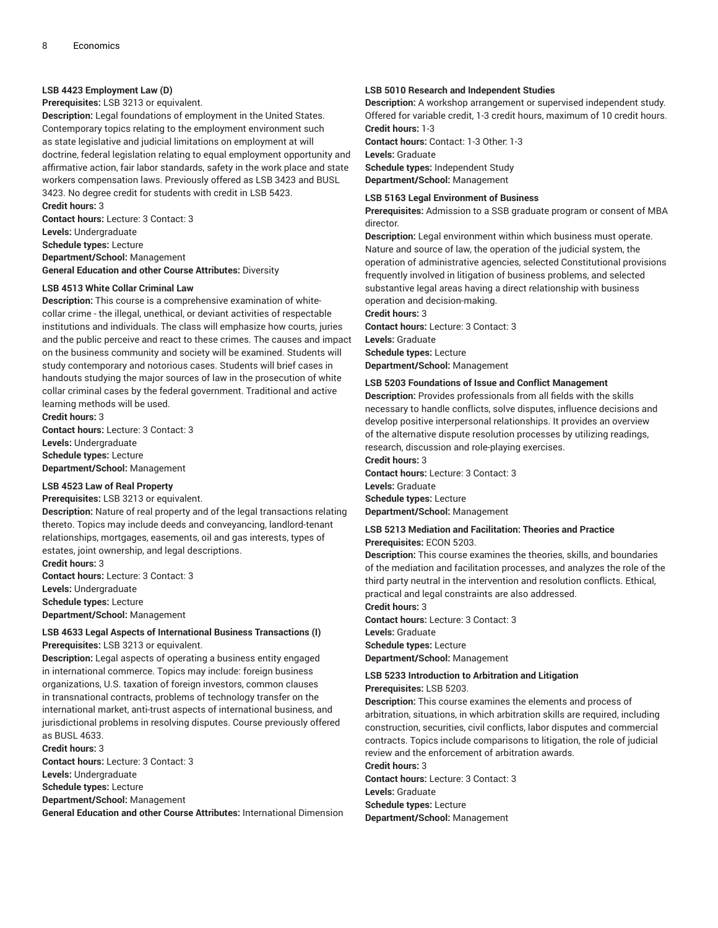### **LSB 4423 Employment Law (D)**

**Prerequisites:** LSB 3213 or equivalent.

**Description:** Legal foundations of employment in the United States. Contemporary topics relating to the employment environment such as state legislative and judicial limitations on employment at will doctrine, federal legislation relating to equal employment opportunity and affirmative action, fair labor standards, safety in the work place and state workers compensation laws. Previously offered as LSB 3423 and BUSL 3423. No degree credit for students with credit in LSB 5423. **Credit hours:** 3

**Contact hours:** Lecture: 3 Contact: 3 **Levels:** Undergraduate **Schedule types:** Lecture **Department/School:** Management **General Education and other Course Attributes:** Diversity

### **LSB 4513 White Collar Criminal Law**

**Description:** This course is a comprehensive examination of whitecollar crime - the illegal, unethical, or deviant activities of respectable institutions and individuals. The class will emphasize how courts, juries and the public perceive and react to these crimes. The causes and impact on the business community and society will be examined. Students will study contemporary and notorious cases. Students will brief cases in handouts studying the major sources of law in the prosecution of white collar criminal cases by the federal government. Traditional and active learning methods will be used.

**Credit hours:** 3 **Contact hours:** Lecture: 3 Contact: 3 **Levels:** Undergraduate **Schedule types:** Lecture **Department/School:** Management

### **LSB 4523 Law of Real Property**

**Credit hours:** 3

#### **Prerequisites:** LSB 3213 or equivalent.

**Description:** Nature of real property and of the legal transactions relating thereto. Topics may include deeds and conveyancing, landlord-tenant relationships, mortgages, easements, oil and gas interests, types of estates, joint ownership, and legal descriptions.

**Contact hours:** Lecture: 3 Contact: 3 **Levels:** Undergraduate **Schedule types:** Lecture **Department/School:** Management

### **LSB 4633 Legal Aspects of International Business Transactions (I) Prerequisites:** LSB 3213 or equivalent.

**Description:** Legal aspects of operating a business entity engaged in international commerce. Topics may include: foreign business organizations, U.S. taxation of foreign investors, common clauses in transnational contracts, problems of technology transfer on the international market, anti-trust aspects of international business, and jurisdictional problems in resolving disputes. Course previously offered as BUSL 4633.

**Credit hours:** 3 **Contact hours:** Lecture: 3 Contact: 3 **Levels:** Undergraduate **Schedule types:** Lecture **Department/School:** Management **General Education and other Course Attributes:** International Dimension

### **LSB 5010 Research and Independent Studies**

**Description:** A workshop arrangement or supervised independent study. Offered for variable credit, 1-3 credit hours, maximum of 10 credit hours. **Credit hours:** 1-3

**Contact hours:** Contact: 1-3 Other: 1-3 **Levels:** Graduate **Schedule types:** Independent Study **Department/School:** Management

### **LSB 5163 Legal Environment of Business**

**Prerequisites:** Admission to a SSB graduate program or consent of MBA director.

**Description:** Legal environment within which business must operate. Nature and source of law, the operation of the judicial system, the operation of administrative agencies, selected Constitutional provisions frequently involved in litigation of business problems, and selected substantive legal areas having a direct relationship with business operation and decision-making.

**Credit hours:** 3 **Contact hours:** Lecture: 3 Contact: 3 **Levels:** Graduate **Schedule types:** Lecture **Department/School:** Management

### **LSB 5203 Foundations of Issue and Conflict Management**

**Description:** Provides professionals from all fields with the skills necessary to handle conflicts, solve disputes, influence decisions and develop positive interpersonal relationships. It provides an overview of the alternative dispute resolution processes by utilizing readings, research, discussion and role-playing exercises.

**Credit hours:** 3 **Contact hours:** Lecture: 3 Contact: 3 **Levels:** Graduate **Schedule types:** Lecture

**Department/School:** Management

### **LSB 5213 Mediation and Facilitation: Theories and Practice Prerequisites:** ECON 5203.

**Description:** This course examines the theories, skills, and boundaries of the mediation and facilitation processes, and analyzes the role of the third party neutral in the intervention and resolution conflicts. Ethical, practical and legal constraints are also addressed.

**Credit hours:** 3 **Contact hours:** Lecture: 3 Contact: 3 **Levels:** Graduate **Schedule types:** Lecture

**Department/School:** Management

## **LSB 5233 Introduction to Arbitration and Litigation**

**Prerequisites:** LSB 5203.

**Description:** This course examines the elements and process of arbitration, situations, in which arbitration skills are required, including construction, securities, civil conflicts, labor disputes and commercial contracts. Topics include comparisons to litigation, the role of judicial review and the enforcement of arbitration awards.

#### **Credit hours:** 3

**Contact hours:** Lecture: 3 Contact: 3

**Levels:** Graduate

**Schedule types:** Lecture

**Department/School:** Management